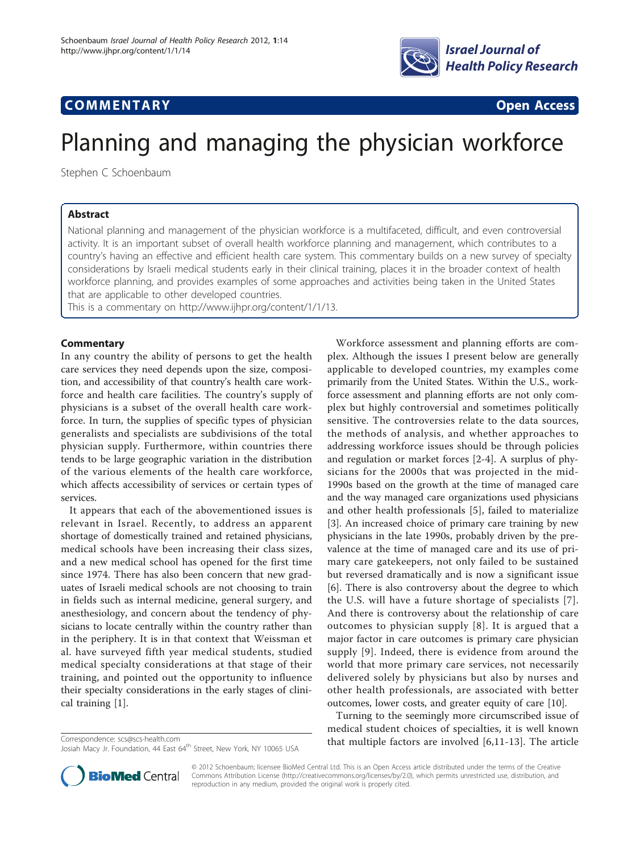

# **COMMENTARY COMMENTARY Open Access**

# Planning and managing the physician workforce

Stephen C Schoenbaum

# Abstract

National planning and management of the physician workforce is a multifaceted, difficult, and even controversial activity. It is an important subset of overall health workforce planning and management, which contributes to a country's having an effective and efficient health care system. This commentary builds on a new survey of specialty considerations by Israeli medical students early in their clinical training, places it in the broader context of health workforce planning, and provides examples of some approaches and activities being taken in the United States that are applicable to other developed countries.

This is a commentary on<http://www.ijhpr.org/content/1/1/13>.

## **Commentary**

In any country the ability of persons to get the health care services they need depends upon the size, composition, and accessibility of that country's health care workforce and health care facilities. The country's supply of physicians is a subset of the overall health care workforce. In turn, the supplies of specific types of physician generalists and specialists are subdivisions of the total physician supply. Furthermore, within countries there tends to be large geographic variation in the distribution of the various elements of the health care workforce, which affects accessibility of services or certain types of services.

It appears that each of the abovementioned issues is relevant in Israel. Recently, to address an apparent shortage of domestically trained and retained physicians, medical schools have been increasing their class sizes, and a new medical school has opened for the first time since 1974. There has also been concern that new graduates of Israeli medical schools are not choosing to train in fields such as internal medicine, general surgery, and anesthesiology, and concern about the tendency of physicians to locate centrally within the country rather than in the periphery. It is in that context that Weissman et al. have surveyed fifth year medical students, studied medical specialty considerations at that stage of their training, and pointed out the opportunity to influence their specialty considerations in the early stages of clinical training [\[1](#page-2-0)].

Workforce assessment and planning efforts are complex. Although the issues I present below are generally applicable to developed countries, my examples come primarily from the United States. Within the U.S., workforce assessment and planning efforts are not only complex but highly controversial and sometimes politically sensitive. The controversies relate to the data sources, the methods of analysis, and whether approaches to addressing workforce issues should be through policies and regulation or market forces [\[2](#page-2-0)-[4\]](#page-2-0). A surplus of physicians for the 2000s that was projected in the mid-1990s based on the growth at the time of managed care and the way managed care organizations used physicians and other health professionals [\[5](#page-2-0)], failed to materialize [[3\]](#page-2-0). An increased choice of primary care training by new physicians in the late 1990s, probably driven by the prevalence at the time of managed care and its use of primary care gatekeepers, not only failed to be sustained but reversed dramatically and is now a significant issue [[6\]](#page-2-0). There is also controversy about the degree to which the U.S. will have a future shortage of specialists [[7\]](#page-2-0). And there is controversy about the relationship of care outcomes to physician supply [\[8\]](#page-2-0). It is argued that a major factor in care outcomes is primary care physician supply [[9\]](#page-2-0). Indeed, there is evidence from around the world that more primary care services, not necessarily delivered solely by physicians but also by nurses and other health professionals, are associated with better outcomes, lower costs, and greater equity of care [[10\]](#page-2-0).

Turning to the seemingly more circumscribed issue of medical student choices of specialties, it is well known Correspondence: [scs@scs-health.com](mailto:scs@scs-health.com) **that multiple factors are involved** [[6,11](#page-2-0)-[13\]](#page-2-0). The article



© 2012 Schoenbaum; licensee BioMed Central Ltd. This is an Open Access article distributed under the terms of the Creative Commons Attribution License [\(http://creativecommons.org/licenses/by/2.0](http://creativecommons.org/licenses/by/2.0)), which permits unrestricted use, distribution, and reproduction in any medium, provided the original work is properly cited.

Josiah Macy Jr. Foundation, 44 East 64<sup>th</sup> Street, New York, NY 10065 USA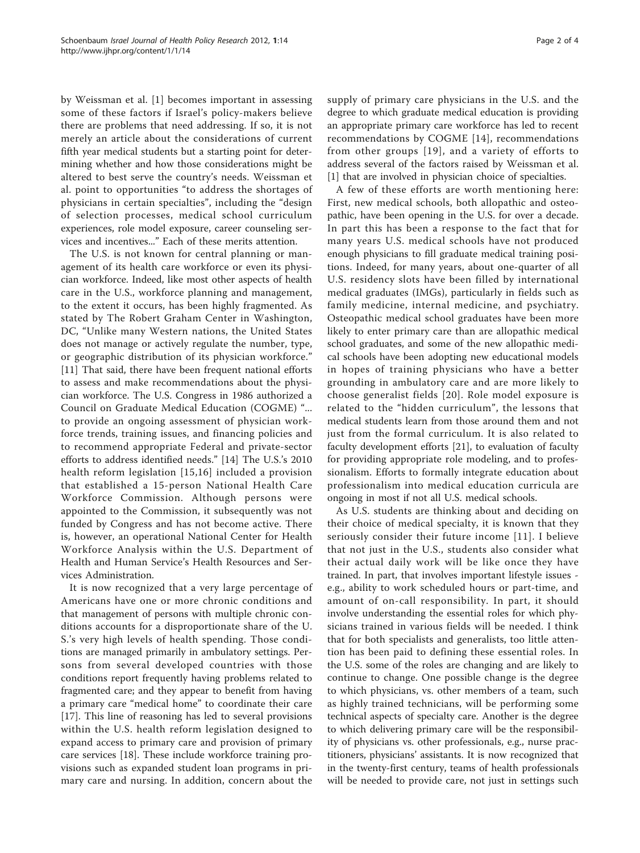by Weissman et al. [\[1](#page-2-0)] becomes important in assessing some of these factors if Israel's policy-makers believe there are problems that need addressing. If so, it is not merely an article about the considerations of current fifth year medical students but a starting point for determining whether and how those considerations might be altered to best serve the country's needs. Weissman et al. point to opportunities "to address the shortages of physicians in certain specialties", including the "design of selection processes, medical school curriculum experiences, role model exposure, career counseling services and incentives..." Each of these merits attention.

The U.S. is not known for central planning or management of its health care workforce or even its physician workforce. Indeed, like most other aspects of health care in the U.S., workforce planning and management, to the extent it occurs, has been highly fragmented. As stated by The Robert Graham Center in Washington, DC, "Unlike many Western nations, the United States does not manage or actively regulate the number, type, or geographic distribution of its physician workforce." [[11\]](#page-2-0) That said, there have been frequent national efforts to assess and make recommendations about the physician workforce. The U.S. Congress in 1986 authorized a Council on Graduate Medical Education (COGME) "... to provide an ongoing assessment of physician workforce trends, training issues, and financing policies and to recommend appropriate Federal and private-sector efforts to address identified needs." [\[14](#page-2-0)] The U.S.'s 2010 health reform legislation [[15,](#page-2-0)[16](#page-3-0)] included a provision that established a 15-person National Health Care Workforce Commission. Although persons were appointed to the Commission, it subsequently was not funded by Congress and has not become active. There is, however, an operational National Center for Health Workforce Analysis within the U.S. Department of Health and Human Service's Health Resources and Services Administration.

It is now recognized that a very large percentage of Americans have one or more chronic conditions and that management of persons with multiple chronic conditions accounts for a disproportionate share of the U. S.'s very high levels of health spending. Those conditions are managed primarily in ambulatory settings. Persons from several developed countries with those conditions report frequently having problems related to fragmented care; and they appear to benefit from having a primary care "medical home" to coordinate their care [[17\]](#page-3-0). This line of reasoning has led to several provisions within the U.S. health reform legislation designed to expand access to primary care and provision of primary care services [[18](#page-3-0)]. These include workforce training provisions such as expanded student loan programs in primary care and nursing. In addition, concern about the supply of primary care physicians in the U.S. and the degree to which graduate medical education is providing an appropriate primary care workforce has led to recent recommendations by COGME [[14\]](#page-2-0), recommendations from other groups [\[19](#page-3-0)], and a variety of efforts to address several of the factors raised by Weissman et al. [[1\]](#page-2-0) that are involved in physician choice of specialties.

A few of these efforts are worth mentioning here: First, new medical schools, both allopathic and osteopathic, have been opening in the U.S. for over a decade. In part this has been a response to the fact that for many years U.S. medical schools have not produced enough physicians to fill graduate medical training positions. Indeed, for many years, about one-quarter of all U.S. residency slots have been filled by international medical graduates (IMGs), particularly in fields such as family medicine, internal medicine, and psychiatry. Osteopathic medical school graduates have been more likely to enter primary care than are allopathic medical school graduates, and some of the new allopathic medical schools have been adopting new educational models in hopes of training physicians who have a better grounding in ambulatory care and are more likely to choose generalist fields [[20](#page-3-0)]. Role model exposure is related to the "hidden curriculum", the lessons that medical students learn from those around them and not just from the formal curriculum. It is also related to faculty development efforts [\[21](#page-3-0)], to evaluation of faculty for providing appropriate role modeling, and to professionalism. Efforts to formally integrate education about professionalism into medical education curricula are ongoing in most if not all U.S. medical schools.

As U.S. students are thinking about and deciding on their choice of medical specialty, it is known that they seriously consider their future income [\[11\]](#page-2-0). I believe that not just in the U.S., students also consider what their actual daily work will be like once they have trained. In part, that involves important lifestyle issues e.g., ability to work scheduled hours or part-time, and amount of on-call responsibility. In part, it should involve understanding the essential roles for which physicians trained in various fields will be needed. I think that for both specialists and generalists, too little attention has been paid to defining these essential roles. In the U.S. some of the roles are changing and are likely to continue to change. One possible change is the degree to which physicians, vs. other members of a team, such as highly trained technicians, will be performing some technical aspects of specialty care. Another is the degree to which delivering primary care will be the responsibility of physicians vs. other professionals, e.g., nurse practitioners, physicians' assistants. It is now recognized that in the twenty-first century, teams of health professionals will be needed to provide care, not just in settings such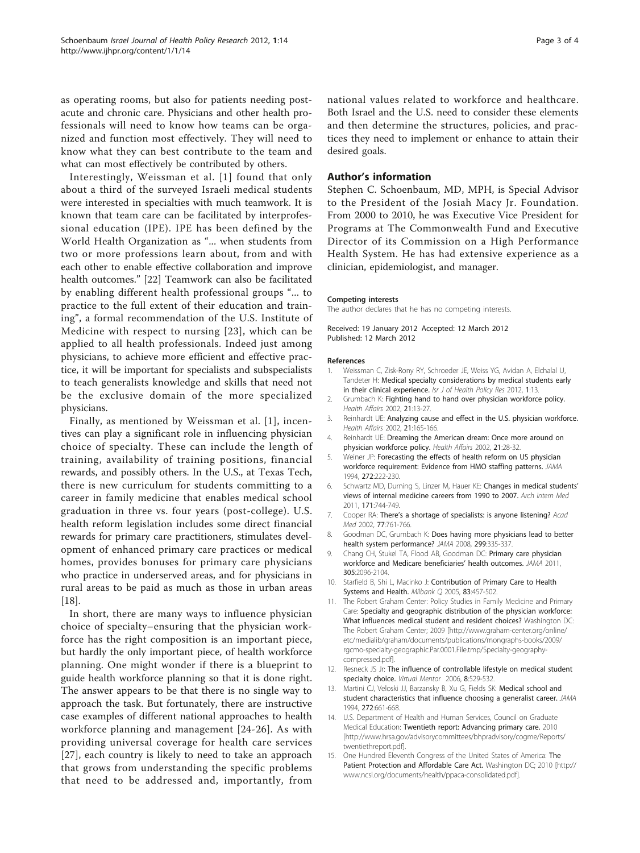<span id="page-2-0"></span>as operating rooms, but also for patients needing postacute and chronic care. Physicians and other health professionals will need to know how teams can be organized and function most effectively. They will need to know what they can best contribute to the team and what can most effectively be contributed by others.

Interestingly, Weissman et al. [1] found that only about a third of the surveyed Israeli medical students were interested in specialties with much teamwork. It is known that team care can be facilitated by interprofessional education (IPE). IPE has been defined by the World Health Organization as "... when students from two or more professions learn about, from and with each other to enable effective collaboration and improve health outcomes." [\[22\]](#page-3-0) Teamwork can also be facilitated by enabling different health professional groups "... to practice to the full extent of their education and training", a formal recommendation of the U.S. Institute of Medicine with respect to nursing [[23](#page-3-0)], which can be applied to all health professionals. Indeed just among physicians, to achieve more efficient and effective practice, it will be important for specialists and subspecialists to teach generalists knowledge and skills that need not be the exclusive domain of the more specialized physicians.

Finally, as mentioned by Weissman et al. [1], incentives can play a significant role in influencing physician choice of specialty. These can include the length of training, availability of training positions, financial rewards, and possibly others. In the U.S., at Texas Tech, there is new curriculum for students committing to a career in family medicine that enables medical school graduation in three vs. four years (post-college). U.S. health reform legislation includes some direct financial rewards for primary care practitioners, stimulates development of enhanced primary care practices or medical homes, provides bonuses for primary care physicians who practice in underserved areas, and for physicians in rural areas to be paid as much as those in urban areas [[18\]](#page-3-0).

In short, there are many ways to influence physician choice of specialty–ensuring that the physician workforce has the right composition is an important piece, but hardly the only important piece, of health workforce planning. One might wonder if there is a blueprint to guide health workforce planning so that it is done right. The answer appears to be that there is no single way to approach the task. But fortunately, there are instructive case examples of different national approaches to health workforce planning and management [[24](#page-3-0)-[26](#page-3-0)]. As with providing universal coverage for health care services [[27\]](#page-3-0), each country is likely to need to take an approach that grows from understanding the specific problems that need to be addressed and, importantly, from Page 3 of 4

national values related to workforce and healthcare. Both Israel and the U.S. need to consider these elements and then determine the structures, policies, and practices they need to implement or enhance to attain their desired goals.

#### Author's information

Stephen C. Schoenbaum, MD, MPH, is Special Advisor to the President of the Josiah Macy Jr. Foundation. From 2000 to 2010, he was Executive Vice President for Programs at The Commonwealth Fund and Executive Director of its Commission on a High Performance Health System. He has had extensive experience as a clinician, epidemiologist, and manager.

#### Competing interests

The author declares that he has no competing interests.

Received: 19 January 2012 Accepted: 12 March 2012 Published: 12 March 2012

#### **References**

- 1. Weissman C, Zisk-Rony RY, Schroeder JE, Weiss YG, Avidan A, Elchalal U, Tandeter H: Medical specialty considerations by medical students early in their clinical experience. Isr J of Health Policy Res 2012, 1:13.
- 2. Grumbach K: [Fighting hand to hand over physician workforce policy.](http://www.ncbi.nlm.nih.gov/pubmed/12224874?dopt=Abstract) Health Affairs 2002, 21:13-27.
- 3. Reinhardt UE: [Analyzing cause and effect in the U.S. physician workforce.](http://www.ncbi.nlm.nih.gov/pubmed/12224879?dopt=Abstract) Health Affairs 2002, 21:165-166.
- 4. Reinhardt UE: [Dreaming the American dream: Once more around on](http://www.ncbi.nlm.nih.gov/pubmed/12442837?dopt=Abstract) [physician workforce policy.](http://www.ncbi.nlm.nih.gov/pubmed/12442837?dopt=Abstract) Health Affairs 2002, 21:28-32.
- 5. Weiner JP: [Forecasting the effects of health reform on US physician](http://www.ncbi.nlm.nih.gov/pubmed/7912746?dopt=Abstract) [workforce requirement: Evidence from HMO staffing patterns.](http://www.ncbi.nlm.nih.gov/pubmed/7912746?dopt=Abstract) JAMA 1994, 272:222-230.
- 6. Schwartz MD, Durning S, Linzer M, Hauer KE: [Changes in medical students](http://www.ncbi.nlm.nih.gov/pubmed/21518941?dopt=Abstract)' [views of internal medicine careers from 1990 to 2007.](http://www.ncbi.nlm.nih.gov/pubmed/21518941?dopt=Abstract) Arch Intern Med 2011, 171:744-749.
- 7. Cooper RA: There'[s a shortage of specialists: is anyone listening?](http://www.ncbi.nlm.nih.gov/pubmed/12176686?dopt=Abstract) Acad Med 2002, 77:761-766.
- 8. Goodman DC, Grumbach K: [Does having more physicians lead to better](http://www.ncbi.nlm.nih.gov/pubmed/18212319?dopt=Abstract) [health system performance?](http://www.ncbi.nlm.nih.gov/pubmed/18212319?dopt=Abstract) JAMA 2008, 299:335-337.
- 9. Chang CH, Stukel TA, Flood AB, Goodman DC: [Primary care physician](http://www.ncbi.nlm.nih.gov/pubmed/21610242?dopt=Abstract) [workforce and Medicare beneficiaries](http://www.ncbi.nlm.nih.gov/pubmed/21610242?dopt=Abstract)' health outcomes. JAMA 2011, 305:2096-2104.
- 10. Starfield B, Shi L, Macinko J: [Contribution of Primary Care to Health](http://www.ncbi.nlm.nih.gov/pubmed/16202000?dopt=Abstract) [Systems and Health.](http://www.ncbi.nlm.nih.gov/pubmed/16202000?dopt=Abstract) Milbank Q 2005, 83:457-502.
- 11. The Robert Graham Center: Policy Studies in Family Medicine and Primary Care: Specialty and geographic distribution of the physician workforce: What influences medical student and resident choices? Washington DC: The Robert Graham Center; 2009 [\[http://www.graham-center.org/online/](http://www.graham-center.org/online/etc/medialib/graham/documents/publications/mongraphs-books/2009/rgcmo-specialty-geographic.Par.0001.File.tmp/Specialty-geography-compressed.pdf) [etc/medialib/graham/documents/publications/mongraphs-books/2009/](http://www.graham-center.org/online/etc/medialib/graham/documents/publications/mongraphs-books/2009/rgcmo-specialty-geographic.Par.0001.File.tmp/Specialty-geography-compressed.pdf) [rgcmo-specialty-geographic.Par.0001.File.tmp/Specialty-geography](http://www.graham-center.org/online/etc/medialib/graham/documents/publications/mongraphs-books/2009/rgcmo-specialty-geographic.Par.0001.File.tmp/Specialty-geography-compressed.pdf)[compressed.pdf\]](http://www.graham-center.org/online/etc/medialib/graham/documents/publications/mongraphs-books/2009/rgcmo-specialty-geographic.Par.0001.File.tmp/Specialty-geography-compressed.pdf).
- 12. Resneck JS Jr: The influence of controllable lifestyle on medical student specialty choice. Virtual Mentor 2006, 8:529-532.
- 13. Martini CJ, Veloski JJ, Barzansky B, Xu G, Fields SK: [Medical school and](http://www.ncbi.nlm.nih.gov/pubmed/8064981?dopt=Abstract) [student characteristics that influence choosing a generalist career.](http://www.ncbi.nlm.nih.gov/pubmed/8064981?dopt=Abstract) JAMA 1994, 272:661-668.
- 14. U.S. Department of Health and Human Services, Council on Graduate Medical Education: Twentieth report: Advancing primary care. 2010 [[http://www.hrsa.gov/advisorycommittees/bhpradvisory/cogme/Reports/](http://www.hrsa.gov/advisorycommittees/bhpradvisory/cogme/Reports/twentiethreport.pdf) [twentiethreport.pdf\]](http://www.hrsa.gov/advisorycommittees/bhpradvisory/cogme/Reports/twentiethreport.pdf).
- 15. One Hundred Eleventh Congress of the United States of America: The Patient Protection and Affordable Care Act. Washington DC: 2010 [[http://](http://www.ncsl.org/documents/health/ppaca-consolidated.pdf) [www.ncsl.org/documents/health/ppaca-consolidated.pdf](http://www.ncsl.org/documents/health/ppaca-consolidated.pdf)].